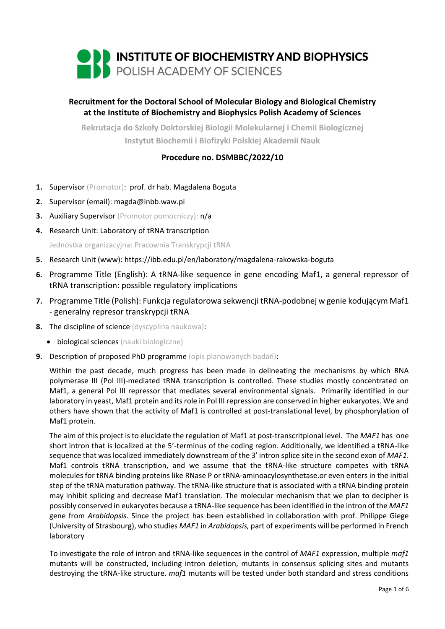

# **Recruitment for the Doctoral School of Molecular Biology and Biological Chemistry at the Institute of Biochemistry and Biophysics Polish Academy of Sciences**

**Rekrutacja do Szkoły Doktorskiej Biologii Molekularnej i Chemii Biologicznej Instytut Biochemii i Biofizyki Polskiej Akademii Nauk**

# **Procedure no. DSMBBC/2022/10**

- **1.** Supervisor (Promotor): prof. dr hab. Magdalena Boguta
- **2.** Supervisor (email): magda@inbb.waw.pl
- **3.** Auxiliary Supervisor (Promotor pomocniczy): n/a
- **4.** Research Unit: Laboratory of tRNA transcription

Jednostka organizacyjna: Pracownia Transkrypcji tRNA

- **5.** Research Unit (www): https://ibb.edu.pl/en/laboratory/magdalena-rakowska-boguta
- **6.** Programme Title (English): A tRNA-like sequence in gene encoding Maf1, a general repressor of tRNA transcription: possible regulatory implications
- **7.** Programme Title (Polish): Funkcja regulatorowa sekwencji tRNA-podobnej w genie kodującym Maf1 - generalny represor transkrypcji tRNA
- **8.** The discipline of science (dyscyplina naukowa):
	- biological sciences (nauki biologiczne)
- **9.** Description of proposed PhD programme (opis planowanych badań):

Within the past decade, much progress has been made in delineating the mechanisms by which RNA polymerase III (Pol III)-mediated tRNA transcription is controlled. These studies mostly concentrated on Maf1, a general Pol III repressor that mediates several environmental signals. Primarily identified in our laboratory in yeast, Maf1 protein and its role in Pol III repression are conserved in higher eukaryotes. We and others have shown that the activity of Maf1 is controlled at post-translational level, by phosphorylation of Maf1 protein.

The aim of this project is to elucidate the regulation of Maf1 at post-transcritpional level. The *MAF1* has one short intron that is localized at the 5'-terminus of the coding region. Additionally, we identified a tRNA-like sequence that was localized immediately downstream of the 3' intron splice site in the second exon of *MAF1*. Maf1 controls tRNA transcription, and we assume that the tRNA-like structure competes with tRNA molecules for tRNA binding proteins like RNase P or tRNA-aminoacylosynthetase.or even enters in the initial step of the tRNA maturation pathway. The tRNA-like structure that is associated with a tRNA binding protein may inhibit splicing and decrease Maf1 translation. The molecular mechanism that we plan to decipher is possibly conserved in eukaryotes because a tRNA-like sequence has been identified in the intron of the *MAF1* gene from *Arabidopsis*. Since the project has been established in collaboration with prof. Philippe Giege (University of Strasbourg), who studies *MAF1* in *Arabidopsis,* part of experiments will be performed in French laboratory

To investigate the role of intron and tRNA-like sequences in the control of *MAF1* expression, multiple *maf1* mutants will be constructed, including intron deletion, mutants in consensus splicing sites and mutants destroying the tRNA-like structure. *maf1* mutants will be tested under both standard and stress conditions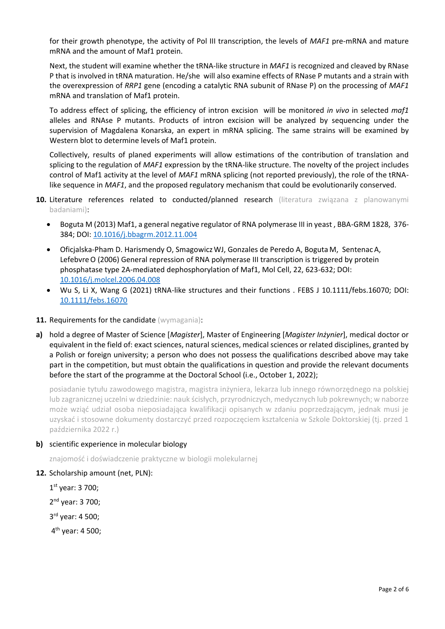for their growth phenotype, the activity of Pol III transcription, the levels of *MAF1* pre-mRNA and mature mRNA and the amount of Maf1 protein.

Next, the student will examine whether the tRNA-like structure in *MAF1* is recognized and cleaved by RNase P that is involved in tRNA maturation. He/she will also examine effects of RNase P mutants and a strain with the overexpression of *RRP1* gene (encoding a catalytic RNA subunit of RNase P) on the processing of *MAF1* mRNA and translation of Maf1 protein.

To address effect of splicing, the efficiency of intron excision will be monitored *in vivo* in selected *maf1*  alleles and RNAse P mutants. Products of intron excision will be analyzed by sequencing under the supervision of Magdalena Konarska, an expert in mRNA splicing. The same strains will be examined by Western blot to determine levels of Maf1 protein.

Collectively, results of planed experiments will allow estimations of the contribution of translation and splicing to the regulation of *MAF1* expression by the tRNA-like structure. The novelty of the project includes control of Maf1 activity at the level of *MAF1* mRNA splicing (not reported previously), the role of the tRNAlike sequence in *MAF1*, and the proposed regulatory mechanism that could be evolutionarily conserved.

- 10. Literature references related to conducted/planned research (literatura związana z planowanymi badaniami):
	- Boguta M (2013) Maf1, a general negative regulator of RNA polymerase III in yeast , BBA-GRM 1828, 376- 384; DOI: [10.1016/j.bbagrm.2012.11.004](https://doi.org/10.1016/j.bbagrm.2012.11.004)
	- Oficjalska-Pham D. Harismendy O, SmagowiczWJ, Gonzales de Peredo A, Boguta M, SentenacA, Lefebvre O (2006) General repression of RNA polymerase III transcription is triggered by protein phosphatase type 2A-mediated dephosphorylation of Maf1, Mol Cell, 22, 623-632; DOI: [10.1016/j.molcel.2006.04.008](https://doi.org/10.1016/j.molcel.2006.04.008)
	- Wu S, Li X, Wang G (2021) tRNA-like structures and their functions . FEBS J 10.1111/febs.16070; DOI: [10.1111/febs.16070](https://doi.org/10.1111/febs.16070)
- 11. Requirements for the candidate (wymagania):
- **a)** hold a degree of Master of Science [*Magister*], Master of Engineering [*Magister Inżynier*], medical doctor or equivalent in the field of: exact sciences, natural sciences, medical sciences or related disciplines, granted by a Polish or foreign university; a person who does not possess the qualifications described above may take part in the competition, but must obtain the qualifications in question and provide the relevant documents before the start of the programme at the Doctoral School (i.e., October 1, 2022);

posiadanie tytułu zawodowego magistra, magistra inżyniera, lekarza lub innego równorzędnego na polskiej lub zagranicznej uczelni w dziedzinie: nauk ścisłych, przyrodniczych, medycznych lub pokrewnych; w naborze może wziąć udział osoba nieposiadająca kwalifikacji opisanych w zdaniu poprzedzającym, jednak musi je uzyskać i stosowne dokumenty dostarczyć przed rozpoczęciem kształcenia w Szkole Doktorskiej (tj. przed 1 października 2022 r.)

#### **b)** scientific experience in molecular biology

znajomość i doświadczenie praktyczne w biologii molekularnej

#### **12.** Scholarship amount (net, PLN):

1 st year: 3 700;

2 nd year: 3 700;

3<sup>rd</sup> year: 4 500;

4<sup>th</sup> year: 4 500;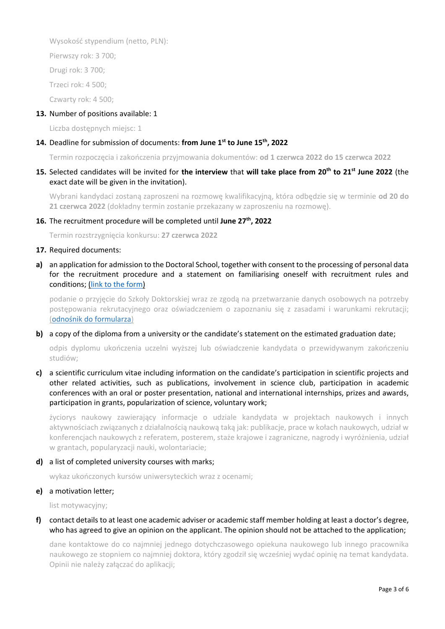Wysokość stypendium (netto, PLN):

Pierwszy rok: 3 700;

Drugi rok: 3 700;

Trzeci rok: 4 500;

Czwarty rok: 4 500;

# **13.** Number of positions available: 1

Liczba dostępnych miejsc: 1

# 14. Deadline for submission of documents: from June 1<sup>st</sup> to June 15<sup>th</sup>, 2022

Termin rozpoczęcia i zakończenia przyjmowania dokumentów: **od 1 czerwca 2022 do 15 czerwca 2022**

# **15.** Selected candidates will be invited for **the interview** that **will take place from 20th to 21st June 2022** (the exact date will be given in the invitation).

Wybrani kandydaci zostaną zaproszeni na rozmowę kwalifikacyjną, która odbędzie się w terminie **od 20 do 21 czerwca 2022** (dokładny termin zostanie przekazany w zaproszeniu na rozmowę).

# **16.** The recruitment procedure will be completed until **June 27th, 2022**

Termin rozstrzygnięcia konkursu: **27 czerwca 2022**

### **17.** Required documents:

**a)** an application for admission to the Doctoral School, together with consent to the processing of personal data for the recruitment procedure and a statement on familiarising oneself with recruitment rules and conditions; [\(link to the form\)](https://ibb.edu.pl/app/uploads/2022/05/application-form_doctoralschool_ibb-pas.docx)

podanie o przyjęcie do Szkoły Doktorskiej wraz ze zgodą na przetwarzanie danych osobowych na potrzeby postępowania rekrutacyjnego oraz oświadczeniem o zapoznaniu się z zasadami i warunkami rekrutacji; ([odnośnik do formularza](https://ibb.edu.pl/app/uploads/2022/05/application-form_doctoralschool_ibb-pas.docx))

# **b)** a copy of the diploma from a university or the candidate's statement on the estimated graduation date;

odpis dyplomu ukończenia uczelni wyższej lub oświadczenie kandydata o przewidywanym zakończeniu studiów;

**c)** a scientific curriculum vitae including information on the candidate's participation in scientific projects and other related activities, such as publications, involvement in science club, participation in academic conferences with an oral or poster presentation, national and international internships, prizes and awards, participation in grants, popularization of science, voluntary work;

życiorys naukowy zawierający informacje o udziale kandydata w projektach naukowych i innych aktywnościach związanych z działalnością naukową taką jak: publikacje, prace w kołach naukowych, udział w konferencjach naukowych z referatem, posterem, staże krajowe i zagraniczne, nagrody i wyróżnienia, udział w grantach, popularyzacji nauki, wolontariacie;

#### **d)** a list of completed university courses with marks;

wykaz ukończonych kursów uniwersyteckich wraz z ocenami;

# **e)** a motivation letter;

list motywacyjny;

# **f)** contact details to at least one academic adviser or academic staff member holding at least a doctor's degree, who has agreed to give an opinion on the applicant. The opinion should not be attached to the application;

dane kontaktowe do co najmniej jednego dotychczasowego opiekuna naukowego lub innego pracownika naukowego ze stopniem co najmniej doktora, który zgodził się wcześniej wydać opinię na temat kandydata. Opinii nie należy załączać do aplikacji;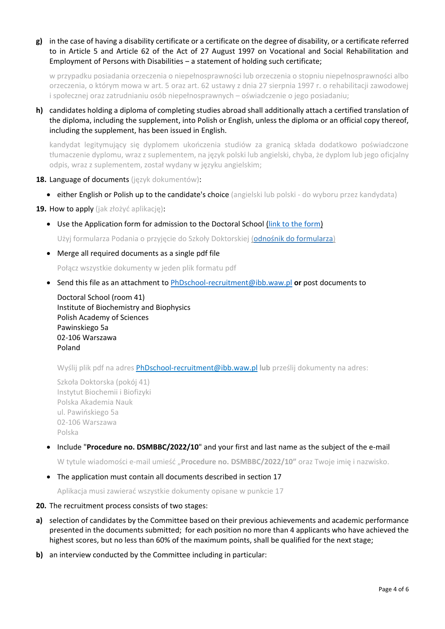**g)** in the case of having a disability certificate or a certificate on the degree of disability, or a certificate referred to in Article 5 and Article 62 of the Act of 27 August 1997 on Vocational and Social Rehabilitation and Employment of Persons with Disabilities - a statement of holding such certificate;

w przypadku posiadania orzeczenia o niepełnosprawności lub orzeczenia o stopniu niepełnosprawności albo orzeczenia, o którym mowa w art. 5 oraz art. 62 ustawy z dnia 27 sierpnia 1997 r. o rehabilitacji zawodowej i społecznej oraz zatrudnianiu osób niepełnosprawnych – oświadczenie o jego posiadaniu;

**h)** candidates holding a diploma of completing studies abroad shall additionally attach a certified translation of the diploma, including the supplement, into Polish or English, unless the diploma or an official copy thereof, including the supplement, has been issued in English.

kandydat legitymujący się dyplomem ukończenia studiów za granicą składa dodatkowo poświadczone tłumaczenie dyplomu, wraz z suplementem, na język polski lub angielski, chyba, że dyplom lub jego oficjalny odpis, wraz z suplementem, został wydany w języku angielskim;

- **18.** Language of documents (język dokumentów):
	- either English or Polish up to the candidate's choice (angielski lub polski do wyboru przez kandydata)

**19.** How to apply (jak złożyć aplikację):

• Use the Application form for admission to the Doctoral School [\(link to the form\)](https://ibb.edu.pl/app/uploads/2022/05/application-form_doctoralschool_ibb-pas.docx)

Użyj formularza Podania o przyjęcie do Szkoły Doktorskiej ([odnośnik do formularza](https://ibb.edu.pl/app/uploads/2022/05/application-form_doctoralschool_ibb-pas.docx))

• Merge all required documents as a single pdf file

Połącz wszystkie dokumenty w jeden plik formatu pdf

• Send this file as an attachment to [PhDschool-recruitment@ibb.waw.pl](mailto:PhDschool-recruitment@ibb.waw.pl) **or** post documents to

Doctoral School (room 41) Institute of Biochemistry and Biophysics Polish Academy of Sciences Pawinskiego 5a 02-106 Warszawa Poland

Wyślij plik pdf na adres [PhDschool-recruitment@ibb.waw.pl](mailto:PhDschool-recruitment@ibb.waw.pl) **lub** prześlij dokumenty na adres:

Szkoła Doktorska (pokój 41) Instytut Biochemii i Biofizyki Polska Akademia Nauk ul. Pawińskiego 5a 02-106 Warszawa Polska

• Include "**Procedure no. DSMBBC/2022/10**" and your first and last name as the subject of the e-mail

W tytule wiadomości e-mail umieść "**Procedure no. DSMBBC/2022/10"** oraz Twoje imię i nazwisko.

• The application must contain all documents described in section 17

Aplikacja musi zawierać wszystkie dokumenty opisane w punkcie 17

- **20.** The recruitment process consists of two stages:
- **a)** selection of candidates by the Committee based on their previous achievements and academic performance presented in the documents submitted; for each position no more than 4 applicants who have achieved the highest scores, but no less than 60% of the maximum points, shall be qualified for the next stage;
- **b)** an interview conducted by the Committee including in particular: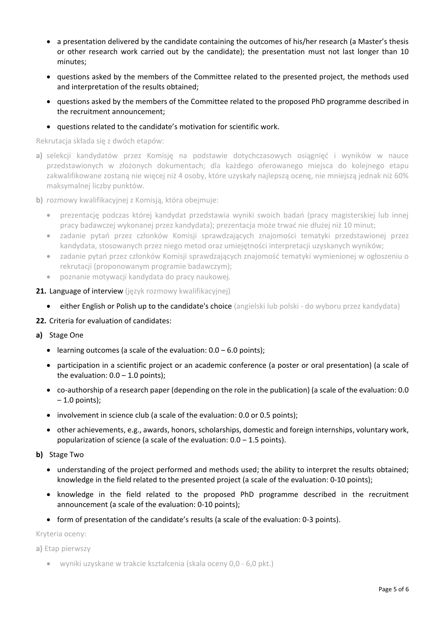- a presentation delivered by the candidate containing the outcomes of his/her research (a Master's thesis or other research work carried out by the candidate); the presentation must not last longer than 10 minutes;
- questions asked by the members of the Committee related to the presented project, the methods used and interpretation of the results obtained;
- questions asked by the members of the Committee related to the proposed PhD programme described in the recruitment announcement;
- questions related to the candidate's motivation for scientific work.

Rekrutacja składa się z dwóch etapów:

- **a)** selekcji kandydatów przez Komisję na podstawie dotychczasowych osiągnięć i wyników w nauce przedstawionych w złożonych dokumentach; dla każdego oferowanego miejsca do kolejnego etapu zakwalifikowane zostaną nie więcej niż 4 osoby, które uzyskały najlepszą ocenę, nie mniejszą jednak niż 60% maksymalnej liczby punktów.
- **b)** rozmowy kwalifikacyjnej z Komisją, która obejmuje:
	- prezentację podczas której kandydat przedstawia wyniki swoich badań (pracy magisterskiej lub innej pracy badawczej wykonanej przez kandydata); prezentacja może trwać nie dłużej niż 10 minut;
	- zadanie pytań przez członków Komisji sprawdzających znajomości tematyki przedstawionej przez kandydata, stosowanych przez niego metod oraz umiejętności interpretacji uzyskanych wyników;
	- zadanie pytań przez członków Komisji sprawdzających znajomość tematyki wymienionej w ogłoszeniu o rekrutacji (proponowanym programie badawczym);
	- poznanie motywacji kandydata do pracy naukowej.
- 21. Language of interview (język rozmowy kwalifikacyjnej)
	- either English or Polish up to the candidate's choice (angielski lub polski do wyboru przez kandydata)
- **22.** Criteria for evaluation of candidates:
- **a)** Stage One
	- learning outcomes (a scale of the evaluation:  $0.0 6.0$  points);
	- participation in a scientific project or an academic conference (a poster or oral presentation) (a scale of the evaluation:  $0.0 - 1.0$  points);
	- co-authorship of a research paper (depending on the role in the publication) (a scale of the evaluation: 0.0  $-1.0$  points);
	- involvement in science club (a scale of the evaluation: 0.0 or 0.5 points);
	- other achievements, e.g., awards, honors, scholarships, domestic and foreign internships, voluntary work, popularization of science (a scale of the evaluation:  $0.0 - 1.5$  points).
- **b)** Stage Two
	- understanding of the project performed and methods used; the ability to interpret the results obtained; knowledge in the field related to the presented project (a scale of the evaluation: 0-10 points);
	- knowledge in the field related to the proposed PhD programme described in the recruitment announcement (a scale of the evaluation: 0-10 points);
	- form of presentation of the candidate's results (a scale of the evaluation: 0-3 points).

Kryteria oceny:

**a)** Etap pierwszy

• wyniki uzyskane w trakcie kształcenia (skala oceny 0,0 - 6,0 pkt.)